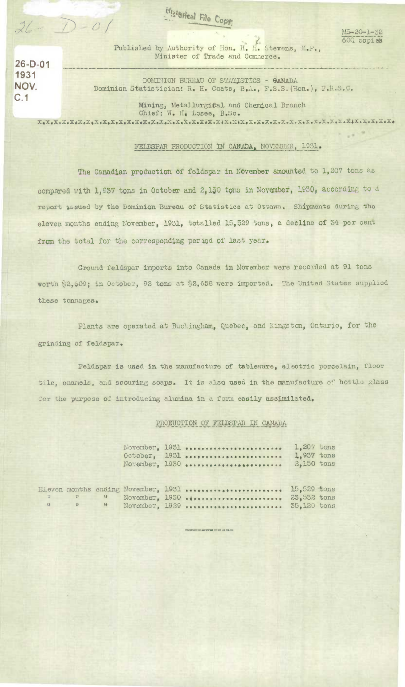**26-0-01**  c.1

 $26 - D - 01$ 

Published by Authority of Hon. H. H. Stevens, M.P., Minister of Trade and Commerce.

Historical File Copy

**1931**<br>
DOMINION BUREAU OF STATISTICS - CANADA<br>
NOV. Dominion Statistician: R. H. Coats, B.A., F.S.S. (Hon.), F.R.S.C.

Mining, Heta11urgia1 and Chemical Branch Chief: W. H4 Losee, B,Sc.

## FELDSPAR PRODUCTION IN CANADA, NOVEMBER, 1931.

The Canadian production of feldspar in November amounted to 1,207 tons as compared with 1,937 tons in October and 2,150 tons in November, 1930, according to a report issued by the Dominion Bureau of Statistics at Ottawa. Shipments during the eleven months ending November, 1931, totalled 15,529 tone, a decline of 34 per cent from the total for the corresponding period of last year.

Ground feldspar imports into Canada in November were recorded at 91 tons worth \$2,609; in October, 92 tons at \$2,658 were imported. The United States supplied these tonnages.

Plants are operated at Buckingham, Quebec, and Kingston, Ontario, for the grinding of feldspar.

**Feldspar is used in** the manufacture of tableware, electric porcelain, floor tile, enamels, and scouring soaps. It is also used in the manufacture of bottle glass for the purpose of introducing alumina in a form easily assimilated.

## PRODUCTION OF FELDSPAR IN CANADA

|                                                                                                                                                                                                                                                                                                                                                                                                                                | November, 1931<br>October, 1931<br>November, 1930 | 1,207 tons<br>1,937 tons<br>2,150 tons |  |
|--------------------------------------------------------------------------------------------------------------------------------------------------------------------------------------------------------------------------------------------------------------------------------------------------------------------------------------------------------------------------------------------------------------------------------|---------------------------------------------------|----------------------------------------|--|
| $\mathbf{u} \cdot \mathbf{v} = \mathbf{v} + \mathbf{v} + \mathbf{v} + \mathbf{v} + \mathbf{v} + \mathbf{v} + \mathbf{v} + \mathbf{v} + \mathbf{v} + \mathbf{v} + \mathbf{v} + \mathbf{v} + \mathbf{v} + \mathbf{v} + \mathbf{v} + \mathbf{v} + \mathbf{v} + \mathbf{v} + \mathbf{v} + \mathbf{v} + \mathbf{v} + \mathbf{v} + \mathbf{v} + \mathbf{v} + \mathbf{v} + \mathbf{v} + \mathbf{v} + \mathbf{v} + \mathbf{v} + \math$ |                                                   | SC COO A                               |  |

| 59 17 17 | $\mathbf{v}$ |  | November, $1929$ 35,120 tons |  |
|----------|--------------|--|------------------------------|--|

M5-20-1-32 . 60Q copies